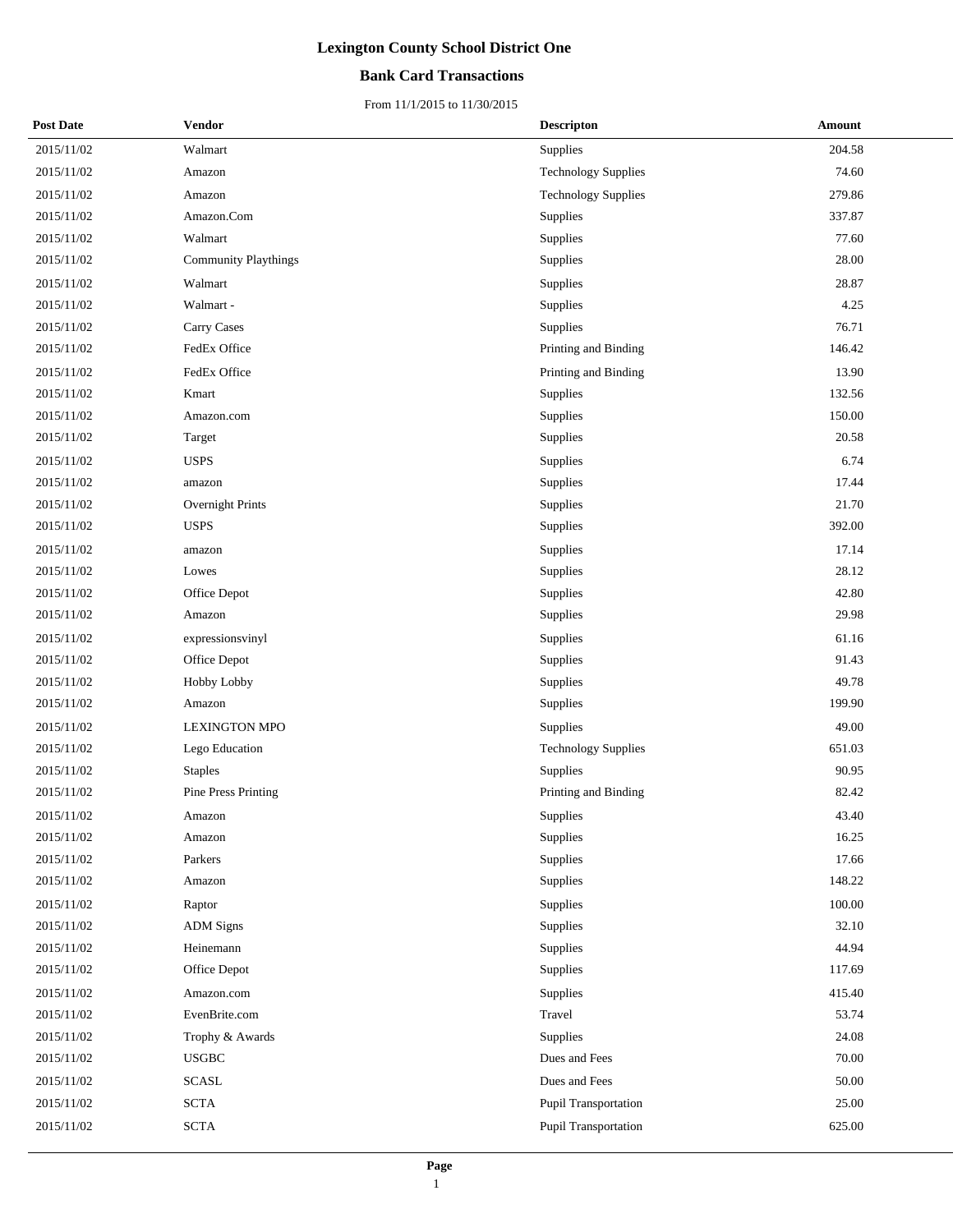## **Bank Card Transactions**

| <b>Post Date</b> | Vendor                      | <b>Descripton</b>          | <b>Amount</b> |
|------------------|-----------------------------|----------------------------|---------------|
| 2015/11/02       | Walmart                     | Supplies                   | 204.58        |
| 2015/11/02       | Amazon                      | <b>Technology Supplies</b> | 74.60         |
| 2015/11/02       | Amazon                      | <b>Technology Supplies</b> | 279.86        |
| 2015/11/02       | Amazon.Com                  | <b>Supplies</b>            | 337.87        |
| 2015/11/02       | Walmart                     | Supplies                   | 77.60         |
| 2015/11/02       | <b>Community Playthings</b> | Supplies                   | 28.00         |
| 2015/11/02       | Walmart                     | Supplies                   | 28.87         |
| 2015/11/02       | Walmart -                   | Supplies                   | 4.25          |
| 2015/11/02       | Carry Cases                 | Supplies                   | 76.71         |
| 2015/11/02       | FedEx Office                | Printing and Binding       | 146.42        |
| 2015/11/02       | FedEx Office                | Printing and Binding       | 13.90         |
| 2015/11/02       | Kmart                       | <b>Supplies</b>            | 132.56        |
| 2015/11/02       | Amazon.com                  | Supplies                   | 150.00        |
| 2015/11/02       | Target                      | Supplies                   | 20.58         |
| 2015/11/02       | <b>USPS</b>                 | Supplies                   | 6.74          |
| 2015/11/02       | amazon                      | <b>Supplies</b>            | 17.44         |
| 2015/11/02       | Overnight Prints            | Supplies                   | 21.70         |
| 2015/11/02       | <b>USPS</b>                 | Supplies                   | 392.00        |
| 2015/11/02       | amazon                      | Supplies                   | 17.14         |
| 2015/11/02       | Lowes                       | <b>Supplies</b>            | 28.12         |
| 2015/11/02       | Office Depot                | Supplies                   | 42.80         |
| 2015/11/02       | Amazon                      | Supplies                   | 29.98         |
| 2015/11/02       | expressionsvinyl            | Supplies                   | 61.16         |
| 2015/11/02       | Office Depot                | <b>Supplies</b>            | 91.43         |
| 2015/11/02       | Hobby Lobby                 | Supplies                   | 49.78         |
| 2015/11/02       | Amazon                      | Supplies                   | 199.90        |
| 2015/11/02       | <b>LEXINGTON MPO</b>        | Supplies                   | 49.00         |
| 2015/11/02       | Lego Education              | <b>Technology Supplies</b> | 651.03        |
| 2015/11/02       | <b>Staples</b>              | Supplies                   | 90.95         |
| 2015/11/02       | Pine Press Printing         | Printing and Binding       | 82.42         |
| 2015/11/02       | Amazon                      | Supplies                   | 43.40         |
| 2015/11/02       | Amazon                      | Supplies                   | 16.25         |
| 2015/11/02       | Parkers                     | Supplies                   | 17.66         |
| 2015/11/02       | Amazon                      | Supplies                   | 148.22        |
| 2015/11/02       | Raptor                      | Supplies                   | 100.00        |
| 2015/11/02       | <b>ADM</b> Signs            | Supplies                   | 32.10         |
| 2015/11/02       | Heinemann                   | Supplies                   | 44.94         |
| 2015/11/02       | Office Depot                | Supplies                   | 117.69        |
| 2015/11/02       | Amazon.com                  | Supplies                   | 415.40        |
| 2015/11/02       | EvenBrite.com               | Travel                     | 53.74         |
| 2015/11/02       | Trophy & Awards             | <b>Supplies</b>            | 24.08         |
| 2015/11/02       | <b>USGBC</b>                | Dues and Fees              | 70.00         |
| 2015/11/02       | SCASL                       | Dues and Fees              | 50.00         |
| 2015/11/02       | <b>SCTA</b>                 | Pupil Transportation       | 25.00         |
| 2015/11/02       | $\operatorname{SCTA}$       | Pupil Transportation       | 625.00        |
|                  |                             |                            |               |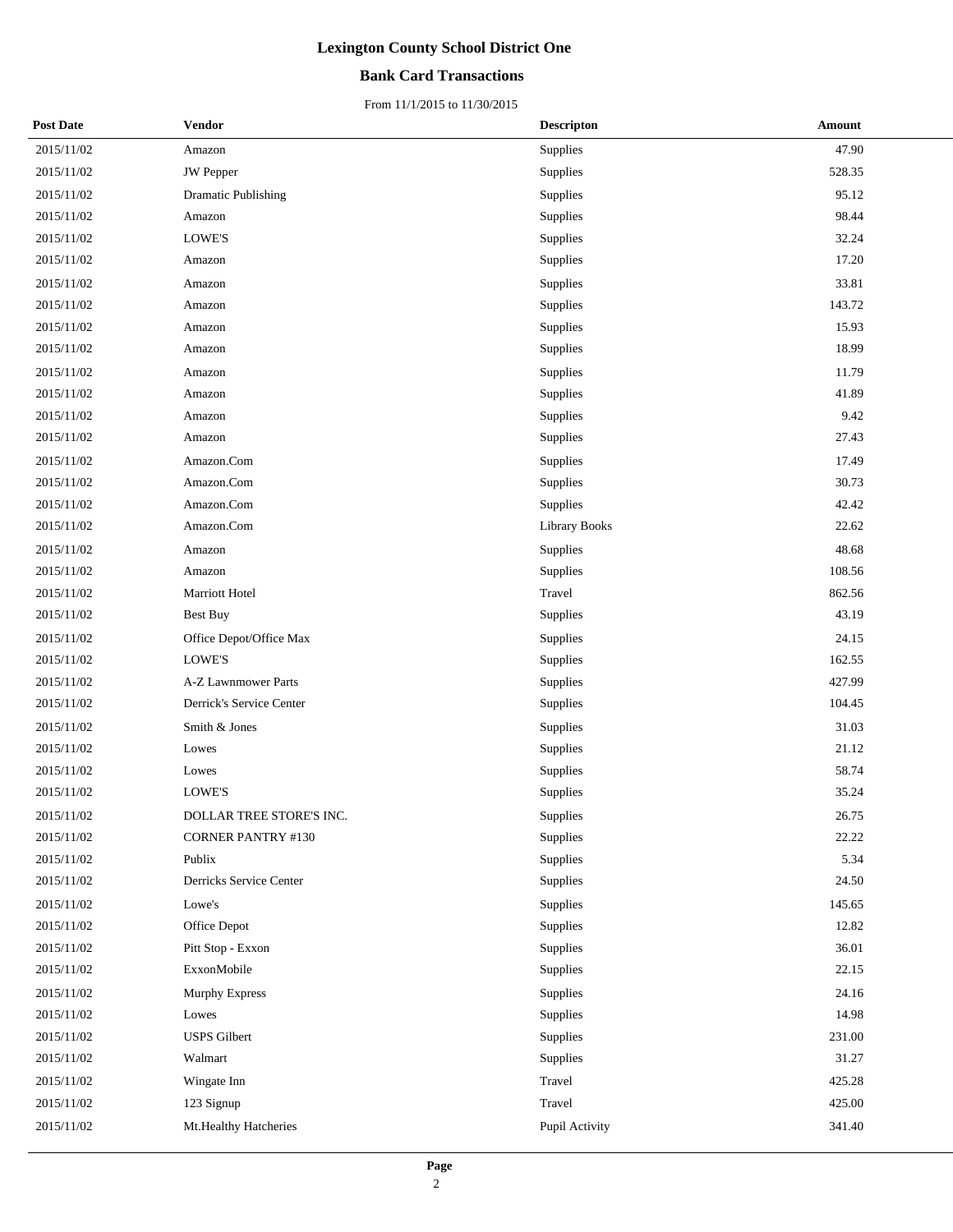## **Bank Card Transactions**

| <b>Post Date</b> | Vendor                          | <b>Descripton</b> | Amount |
|------------------|---------------------------------|-------------------|--------|
| 2015/11/02       | Amazon                          | Supplies          | 47.90  |
| 2015/11/02       | JW Pepper                       | Supplies          | 528.35 |
| 2015/11/02       | <b>Dramatic Publishing</b>      | Supplies          | 95.12  |
| 2015/11/02       | Amazon                          | Supplies          | 98.44  |
| 2015/11/02       | LOWE'S                          | Supplies          | 32.24  |
| 2015/11/02       | Amazon                          | Supplies          | 17.20  |
| 2015/11/02       | Amazon                          | Supplies          | 33.81  |
| 2015/11/02       | Amazon                          | Supplies          | 143.72 |
| 2015/11/02       | Amazon                          | Supplies          | 15.93  |
| 2015/11/02       | Amazon                          | Supplies          | 18.99  |
| 2015/11/02       | Amazon                          | Supplies          | 11.79  |
| 2015/11/02       | Amazon                          | Supplies          | 41.89  |
| 2015/11/02       | Amazon                          | Supplies          | 9.42   |
| 2015/11/02       | Amazon                          | Supplies          | 27.43  |
| 2015/11/02       | Amazon.Com                      | Supplies          | 17.49  |
| 2015/11/02       | Amazon.Com                      | Supplies          | 30.73  |
| 2015/11/02       | Amazon.Com                      | Supplies          | 42.42  |
| 2015/11/02       | Amazon.Com                      | Library Books     | 22.62  |
| 2015/11/02       | Amazon                          | Supplies          | 48.68  |
| 2015/11/02       | Amazon                          | Supplies          | 108.56 |
| 2015/11/02       | Marriott Hotel                  | Travel            | 862.56 |
| 2015/11/02       | Best Buy                        | Supplies          | 43.19  |
| 2015/11/02       | Office Depot/Office Max         | Supplies          | 24.15  |
| 2015/11/02       | LOWE'S                          | Supplies          | 162.55 |
| 2015/11/02       | A-Z Lawnmower Parts             | Supplies          | 427.99 |
| 2015/11/02       | Derrick's Service Center        | Supplies          | 104.45 |
| 2015/11/02       | Smith & Jones                   | Supplies          | 31.03  |
| 2015/11/02       | Lowes                           | Supplies          | 21.12  |
| 2015/11/02       | Lowes                           | Supplies          | 58.74  |
| 2015/11/02       | LOWE'S                          | Supplies          | 35.24  |
| 2015/11/02       | <b>DOLLAR TREE STORE'S INC.</b> | Supplies          | 26.75  |
| 2015/11/02       | <b>CORNER PANTRY #130</b>       | Supplies          | 22.22  |
| 2015/11/02       | Publix                          | Supplies          | 5.34   |
| 2015/11/02       | Derricks Service Center         | Supplies          | 24.50  |
| 2015/11/02       | Lowe's                          | Supplies          | 145.65 |
| 2015/11/02       | Office Depot                    | Supplies          | 12.82  |
| 2015/11/02       | Pitt Stop - Exxon               | Supplies          | 36.01  |
| 2015/11/02       | ExxonMobile                     | Supplies          | 22.15  |
| 2015/11/02       | <b>Murphy Express</b>           | Supplies          | 24.16  |
| 2015/11/02       | Lowes                           | Supplies          | 14.98  |
| 2015/11/02       | <b>USPS</b> Gilbert             | Supplies          | 231.00 |
| $2015/11/02$     | Walmart                         | Supplies          | 31.27  |
| 2015/11/02       | Wingate Inn                     | Travel            | 425.28 |
| 2015/11/02       | 123 Signup                      | Travel            | 425.00 |
| 2015/11/02       | Mt.Healthy Hatcheries           | Pupil Activity    | 341.40 |
|                  |                                 |                   |        |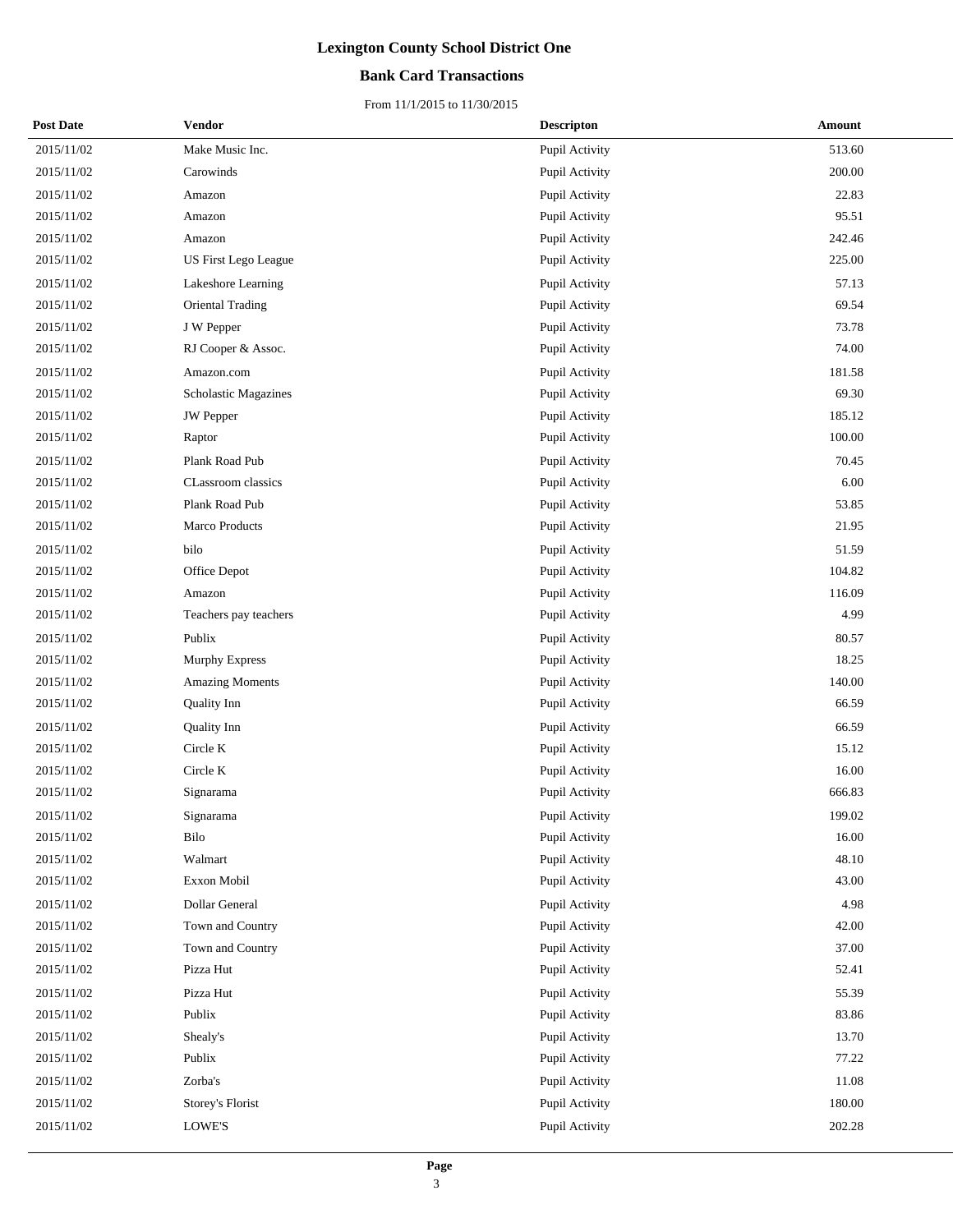## **Bank Card Transactions**

| <b>Post Date</b> | Vendor                    | <b>Descripton</b> | Amount |
|------------------|---------------------------|-------------------|--------|
| 2015/11/02       | Make Music Inc.           | Pupil Activity    | 513.60 |
| 2015/11/02       | Carowinds                 | Pupil Activity    | 200.00 |
| 2015/11/02       | Amazon                    | Pupil Activity    | 22.83  |
| 2015/11/02       | Amazon                    | Pupil Activity    | 95.51  |
| 2015/11/02       | Amazon                    | Pupil Activity    | 242.46 |
| 2015/11/02       | US First Lego League      | Pupil Activity    | 225.00 |
| 2015/11/02       | Lakeshore Learning        | Pupil Activity    | 57.13  |
| 2015/11/02       | <b>Oriental Trading</b>   | Pupil Activity    | 69.54  |
| 2015/11/02       | J W Pepper                | Pupil Activity    | 73.78  |
| 2015/11/02       | RJ Cooper & Assoc.        | Pupil Activity    | 74.00  |
| 2015/11/02       | Amazon.com                | Pupil Activity    | 181.58 |
| 2015/11/02       | Scholastic Magazines      | Pupil Activity    | 69.30  |
| 2015/11/02       | <b>JW</b> Pepper          | Pupil Activity    | 185.12 |
| 2015/11/02       | Raptor                    | Pupil Activity    | 100.00 |
| 2015/11/02       | Plank Road Pub            | Pupil Activity    | 70.45  |
| 2015/11/02       | <b>CLassroom</b> classics | Pupil Activity    | 6.00   |
| 2015/11/02       | Plank Road Pub            | Pupil Activity    | 53.85  |
| 2015/11/02       | Marco Products            | Pupil Activity    | 21.95  |
| 2015/11/02       | bilo                      | Pupil Activity    | 51.59  |
| 2015/11/02       | Office Depot              | Pupil Activity    | 104.82 |
| 2015/11/02       | Amazon                    | Pupil Activity    | 116.09 |
| 2015/11/02       | Teachers pay teachers     | Pupil Activity    | 4.99   |
| 2015/11/02       | Publix                    | Pupil Activity    | 80.57  |
| 2015/11/02       | Murphy Express            | Pupil Activity    | 18.25  |
| 2015/11/02       | <b>Amazing Moments</b>    | Pupil Activity    | 140.00 |
| 2015/11/02       | Quality Inn               | Pupil Activity    | 66.59  |
| 2015/11/02       | <b>Quality Inn</b>        | Pupil Activity    | 66.59  |
| 2015/11/02       | Circle K                  | Pupil Activity    | 15.12  |
| 2015/11/02       | Circle K                  | Pupil Activity    | 16.00  |
| 2015/11/02       | Signarama                 | Pupil Activity    | 666.83 |
| 2015/11/02       | Signarama                 | Pupil Activity    | 199.02 |
| 2015/11/02       | Bilo                      | Pupil Activity    | 16.00  |
| 2015/11/02       | Walmart                   | Pupil Activity    | 48.10  |
| 2015/11/02       | Exxon Mobil               | Pupil Activity    | 43.00  |
| 2015/11/02       | Dollar General            | Pupil Activity    | 4.98   |
| 2015/11/02       | Town and Country          | Pupil Activity    | 42.00  |
| 2015/11/02       | Town and Country          | Pupil Activity    | 37.00  |
| 2015/11/02       | Pizza Hut                 | Pupil Activity    | 52.41  |
| 2015/11/02       | Pizza Hut                 | Pupil Activity    | 55.39  |
| 2015/11/02       | Publix                    | Pupil Activity    | 83.86  |
| 2015/11/02       | Shealy's                  | Pupil Activity    | 13.70  |
| $2015/11/02$     | Publix                    | Pupil Activity    | 77.22  |
| 2015/11/02       | Zorba's                   | Pupil Activity    | 11.08  |
| 2015/11/02       | Storey's Florist          | Pupil Activity    | 180.00 |
| 2015/11/02       | LOWE'S                    | Pupil Activity    | 202.28 |
|                  |                           |                   |        |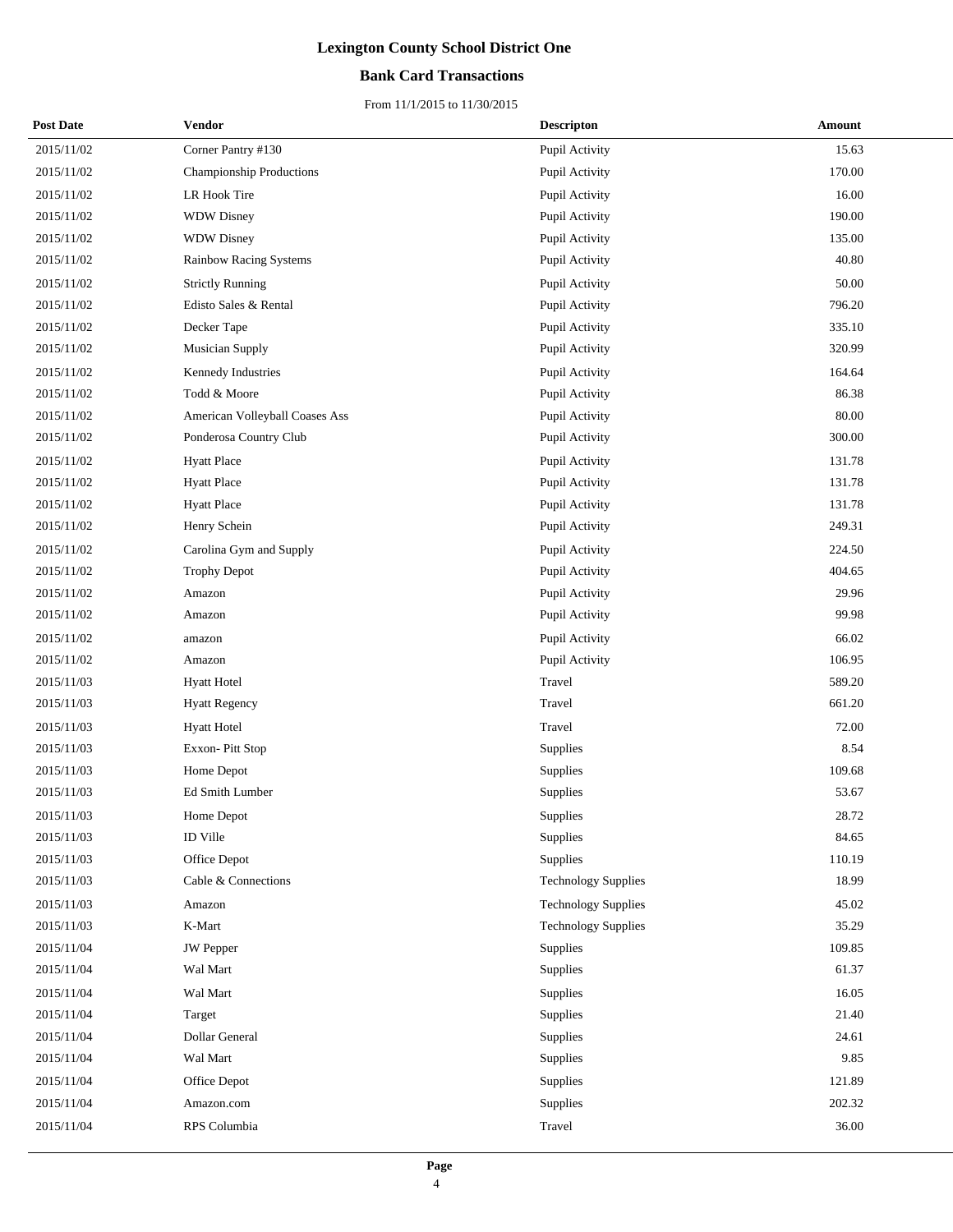## **Bank Card Transactions**

| <b>Post Date</b> | Vendor                         | <b>Descripton</b>          | Amount |
|------------------|--------------------------------|----------------------------|--------|
| 2015/11/02       | Corner Pantry #130             | Pupil Activity             | 15.63  |
| 2015/11/02       | Championship Productions       | Pupil Activity             | 170.00 |
| 2015/11/02       | LR Hook Tire                   | Pupil Activity             | 16.00  |
| 2015/11/02       | <b>WDW Disney</b>              | Pupil Activity             | 190.00 |
| 2015/11/02       | <b>WDW Disney</b>              | Pupil Activity             | 135.00 |
| 2015/11/02       | Rainbow Racing Systems         | Pupil Activity             | 40.80  |
| 2015/11/02       | <b>Strictly Running</b>        | Pupil Activity             | 50.00  |
| 2015/11/02       | Edisto Sales & Rental          | Pupil Activity             | 796.20 |
| 2015/11/02       | Decker Tape                    | Pupil Activity             | 335.10 |
| 2015/11/02       | <b>Musician Supply</b>         | Pupil Activity             | 320.99 |
| 2015/11/02       | Kennedy Industries             | Pupil Activity             | 164.64 |
| 2015/11/02       | Todd & Moore                   | Pupil Activity             | 86.38  |
| 2015/11/02       | American Volleyball Coases Ass | Pupil Activity             | 80.00  |
| 2015/11/02       | Ponderosa Country Club         | Pupil Activity             | 300.00 |
| 2015/11/02       | <b>Hyatt Place</b>             | Pupil Activity             | 131.78 |
| 2015/11/02       | <b>Hyatt Place</b>             | Pupil Activity             | 131.78 |
| 2015/11/02       | <b>Hyatt Place</b>             | Pupil Activity             | 131.78 |
| 2015/11/02       | Henry Schein                   | Pupil Activity             | 249.31 |
| 2015/11/02       | Carolina Gym and Supply        | Pupil Activity             | 224.50 |
| 2015/11/02       | <b>Trophy Depot</b>            | Pupil Activity             | 404.65 |
| 2015/11/02       | Amazon                         | Pupil Activity             | 29.96  |
| 2015/11/02       | Amazon                         | Pupil Activity             | 99.98  |
| 2015/11/02       | amazon                         | Pupil Activity             | 66.02  |
| 2015/11/02       | Amazon                         | Pupil Activity             | 106.95 |
| 2015/11/03       | <b>Hyatt Hotel</b>             | Travel                     | 589.20 |
| 2015/11/03       | <b>Hyatt Regency</b>           | Travel                     | 661.20 |
| 2015/11/03       | <b>Hyatt Hotel</b>             | Travel                     | 72.00  |
| 2015/11/03       | Exxon-Pitt Stop                | Supplies                   | 8.54   |
| 2015/11/03       | Home Depot                     | Supplies                   | 109.68 |
| 2015/11/03       | Ed Smith Lumber                | Supplies                   | 53.67  |
| 2015/11/03       | Home Depot                     | Supplies                   | 28.72  |
| 2015/11/03       | ID Ville                       | Supplies                   | 84.65  |
| 2015/11/03       | Office Depot                   | Supplies                   | 110.19 |
| 2015/11/03       | Cable & Connections            | <b>Technology Supplies</b> | 18.99  |
| 2015/11/03       | Amazon                         | <b>Technology Supplies</b> | 45.02  |
| 2015/11/03       | K-Mart                         | <b>Technology Supplies</b> | 35.29  |
| 2015/11/04       | <b>JW</b> Pepper               | Supplies                   | 109.85 |
| 2015/11/04       | Wal Mart                       | Supplies                   | 61.37  |
| 2015/11/04       | Wal Mart                       | Supplies                   | 16.05  |
| 2015/11/04       | Target                         | Supplies                   | 21.40  |
| 2015/11/04       | Dollar General                 | Supplies                   | 24.61  |
| 2015/11/04       | Wal Mart                       | Supplies                   | 9.85   |
| 2015/11/04       | Office Depot                   | Supplies                   | 121.89 |
| 2015/11/04       | Amazon.com                     | Supplies                   | 202.32 |
| 2015/11/04       | RPS Columbia                   | Travel                     | 36.00  |
|                  |                                |                            |        |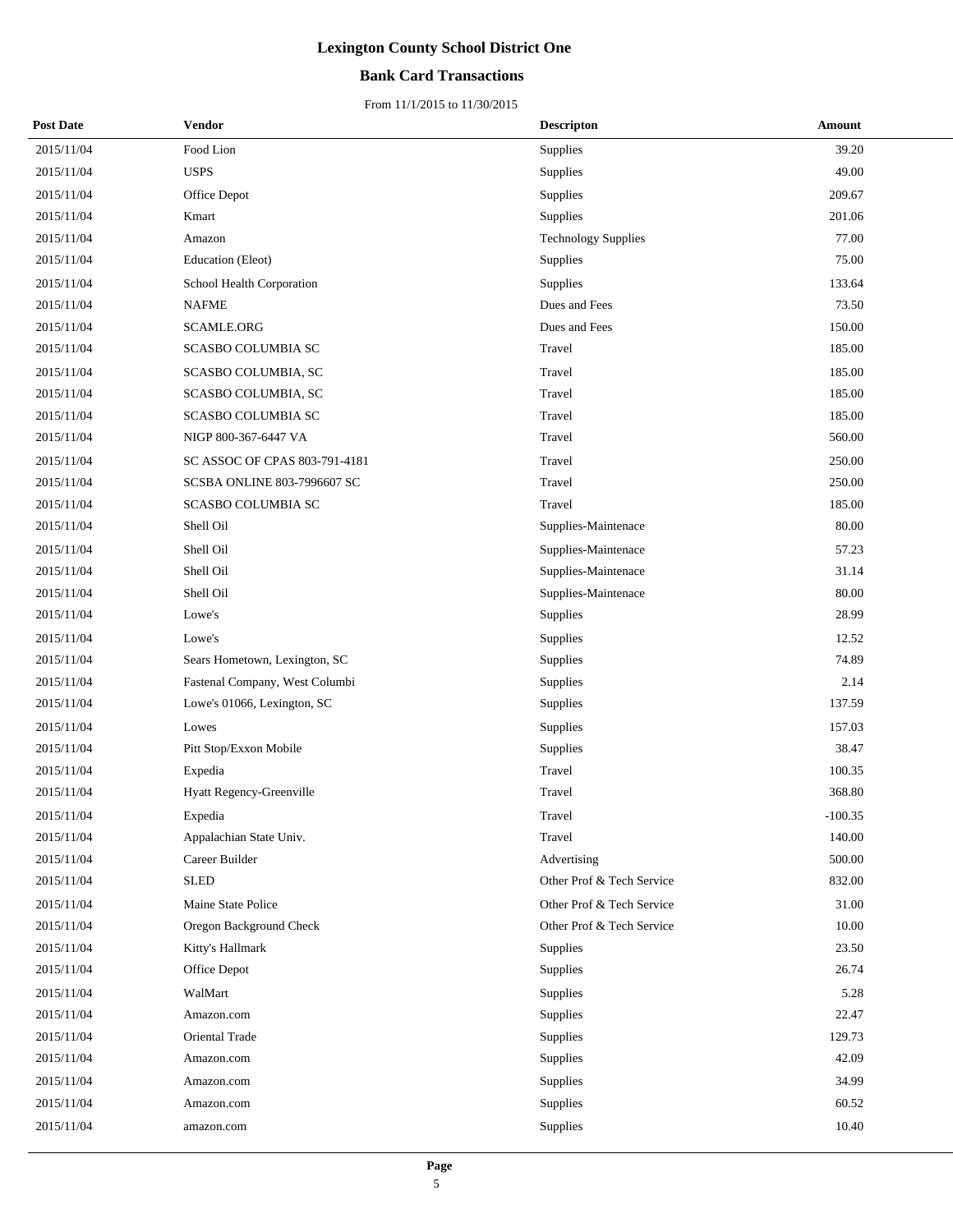## **Bank Card Transactions**

| <b>Post Date</b> | Vendor                          | <b>Descripton</b>          | Amount    |
|------------------|---------------------------------|----------------------------|-----------|
| 2015/11/04       | Food Lion                       | Supplies                   | 39.20     |
| 2015/11/04       | <b>USPS</b>                     | Supplies                   | 49.00     |
| 2015/11/04       | Office Depot                    | Supplies                   | 209.67    |
| 2015/11/04       | Kmart                           | Supplies                   | 201.06    |
| 2015/11/04       | Amazon                          | <b>Technology Supplies</b> | 77.00     |
| 2015/11/04       | Education (Eleot)               | Supplies                   | 75.00     |
| 2015/11/04       | School Health Corporation       | Supplies                   | 133.64    |
| 2015/11/04       | <b>NAFME</b>                    | Dues and Fees              | 73.50     |
| 2015/11/04       | SCAMLE.ORG                      | Dues and Fees              | 150.00    |
| 2015/11/04       | SCASBO COLUMBIA SC              | Travel                     | 185.00    |
| 2015/11/04       | SCASBO COLUMBIA, SC             | Travel                     | 185.00    |
| 2015/11/04       | SCASBO COLUMBIA, SC             | Travel                     | 185.00    |
| 2015/11/04       | SCASBO COLUMBIA SC              | Travel                     | 185.00    |
| 2015/11/04       | NIGP 800-367-6447 VA            | Travel                     | 560.00    |
| 2015/11/04       | SC ASSOC OF CPAS 803-791-4181   | Travel                     | 250.00    |
| 2015/11/04       | SCSBA ONLINE 803-7996607 SC     | Travel                     | 250.00    |
| 2015/11/04       | SCASBO COLUMBIA SC              | Travel                     | 185.00    |
| 2015/11/04       | Shell Oil                       | Supplies-Maintenace        | 80.00     |
| 2015/11/04       | Shell Oil                       | Supplies-Maintenace        | 57.23     |
| 2015/11/04       | Shell Oil                       | Supplies-Maintenace        | 31.14     |
| 2015/11/04       | Shell Oil                       | Supplies-Maintenace        | 80.00     |
| 2015/11/04       | Lowe's                          | Supplies                   | 28.99     |
| 2015/11/04       | Lowe's                          | Supplies                   | 12.52     |
| 2015/11/04       | Sears Hometown, Lexington, SC   | Supplies                   | 74.89     |
| 2015/11/04       | Fastenal Company, West Columbi  | Supplies                   | 2.14      |
| 2015/11/04       | Lowe's 01066, Lexington, SC     | Supplies                   | 137.59    |
| 2015/11/04       | Lowes                           | Supplies                   | 157.03    |
| 2015/11/04       | Pitt Stop/Exxon Mobile          | Supplies                   | 38.47     |
| 2015/11/04       | Expedia                         | Travel                     | 100.35    |
| 2015/11/04       | <b>Hyatt Regency-Greenville</b> | Travel                     | 368.80    |
| 2015/11/04       | Expedia                         | Travel                     | $-100.35$ |
| 2015/11/04       | Appalachian State Univ.         | Travel                     | 140.00    |
| 2015/11/04       | Career Builder                  | Advertising                | 500.00    |
| 2015/11/04       | ${\hbox{\textbf{SLED}}}$        | Other Prof & Tech Service  | 832.00    |
| 2015/11/04       | Maine State Police              | Other Prof & Tech Service  | 31.00     |
| 2015/11/04       | Oregon Background Check         | Other Prof & Tech Service  | 10.00     |
| 2015/11/04       | Kitty's Hallmark                | Supplies                   | 23.50     |
| 2015/11/04       | Office Depot                    | Supplies                   | 26.74     |
| 2015/11/04       | WalMart                         | Supplies                   | 5.28      |
| 2015/11/04       | Amazon.com                      | Supplies                   | 22.47     |
| 2015/11/04       | Oriental Trade                  | Supplies                   | 129.73    |
| 2015/11/04       | Amazon.com                      | Supplies                   | 42.09     |
| 2015/11/04       | Amazon.com                      | Supplies                   | 34.99     |
| 2015/11/04       | Amazon.com                      | Supplies                   | 60.52     |
| 2015/11/04       | amazon.com                      | Supplies                   | 10.40     |
|                  |                                 |                            |           |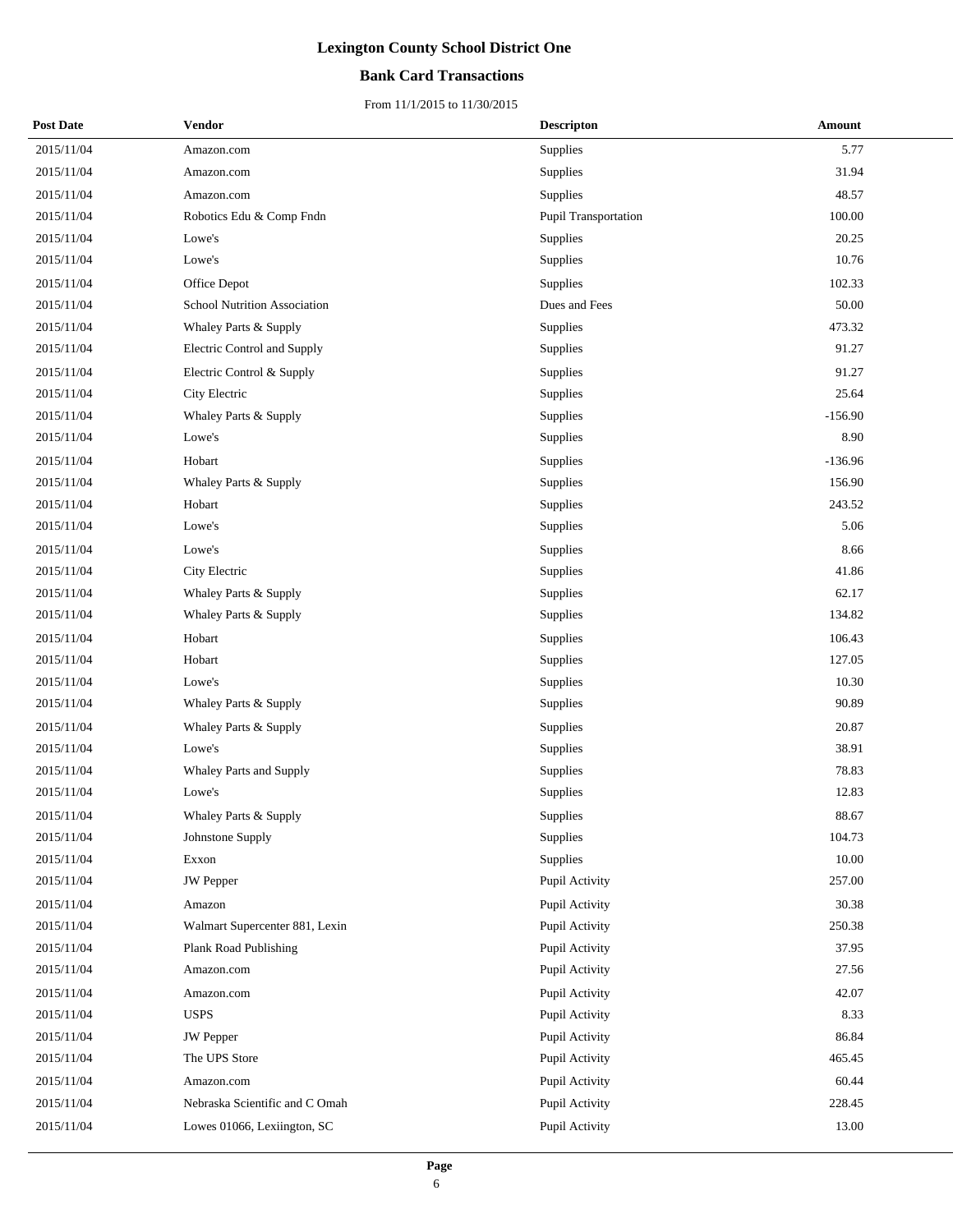## **Bank Card Transactions**

| <b>Post Date</b> | <b>Vendor</b>                  | <b>Descripton</b>    | Amount    |
|------------------|--------------------------------|----------------------|-----------|
| 2015/11/04       | Amazon.com                     | Supplies             | 5.77      |
| 2015/11/04       | Amazon.com                     | Supplies             | 31.94     |
| 2015/11/04       | Amazon.com                     | Supplies             | 48.57     |
| 2015/11/04       | Robotics Edu & Comp Fndn       | Pupil Transportation | 100.00    |
| 2015/11/04       | Lowe's                         | Supplies             | 20.25     |
| 2015/11/04       | Lowe's                         | Supplies             | 10.76     |
| 2015/11/04       | Office Depot                   | Supplies             | 102.33    |
| 2015/11/04       | School Nutrition Association   | Dues and Fees        | 50.00     |
| 2015/11/04       | Whaley Parts & Supply          | Supplies             | 473.32    |
| 2015/11/04       | Electric Control and Supply    | Supplies             | 91.27     |
| 2015/11/04       | Electric Control & Supply      | Supplies             | 91.27     |
| 2015/11/04       | City Electric                  | Supplies             | 25.64     |
| 2015/11/04       | Whaley Parts & Supply          | Supplies             | $-156.90$ |
| 2015/11/04       | Lowe's                         | <b>Supplies</b>      | 8.90      |
| 2015/11/04       | Hobart                         | Supplies             | $-136.96$ |
| 2015/11/04       | Whaley Parts & Supply          | Supplies             | 156.90    |
| 2015/11/04       | Hobart                         | Supplies             | 243.52    |
| 2015/11/04       | Lowe's                         | Supplies             | 5.06      |
| 2015/11/04       | Lowe's                         | Supplies             | 8.66      |
| 2015/11/04       | City Electric                  | Supplies             | 41.86     |
| 2015/11/04       | Whaley Parts & Supply          | Supplies             | 62.17     |
| 2015/11/04       | Whaley Parts & Supply          | Supplies             | 134.82    |
| 2015/11/04       | Hobart                         | Supplies             | 106.43    |
| 2015/11/04       | Hobart                         | Supplies             | 127.05    |
| 2015/11/04       | Lowe's                         | Supplies             | 10.30     |
| 2015/11/04       | Whaley Parts & Supply          | Supplies             | 90.89     |
| 2015/11/04       | Whaley Parts & Supply          | Supplies             | 20.87     |
| 2015/11/04       | Lowe's                         | Supplies             | 38.91     |
| 2015/11/04       | Whaley Parts and Supply        | Supplies             | 78.83     |
| 2015/11/04       | Lowe's                         | Supplies             | 12.83     |
| 2015/11/04       | Whaley Parts & Supply          | Supplies             | 88.67     |
| 2015/11/04       | Johnstone Supply               | Supplies             | 104.73    |
| 2015/11/04       | Exxon                          | Supplies             | 10.00     |
| 2015/11/04       | <b>JW</b> Pepper               | Pupil Activity       | 257.00    |
| 2015/11/04       | Amazon                         | Pupil Activity       | 30.38     |
| 2015/11/04       | Walmart Supercenter 881, Lexin | Pupil Activity       | 250.38    |
| 2015/11/04       | Plank Road Publishing          | Pupil Activity       | 37.95     |
| 2015/11/04       | Amazon.com                     | Pupil Activity       | 27.56     |
| 2015/11/04       | Amazon.com                     | Pupil Activity       | 42.07     |
| 2015/11/04       | <b>USPS</b>                    | Pupil Activity       | 8.33      |
| 2015/11/04       | JW Pepper                      | Pupil Activity       | 86.84     |
| 2015/11/04       | The UPS Store                  | Pupil Activity       | 465.45    |
| 2015/11/04       | Amazon.com                     | Pupil Activity       | 60.44     |
| 2015/11/04       | Nebraska Scientific and C Omah | Pupil Activity       | 228.45    |
| 2015/11/04       | Lowes 01066, Lexiington, SC    | Pupil Activity       | 13.00     |
|                  |                                |                      |           |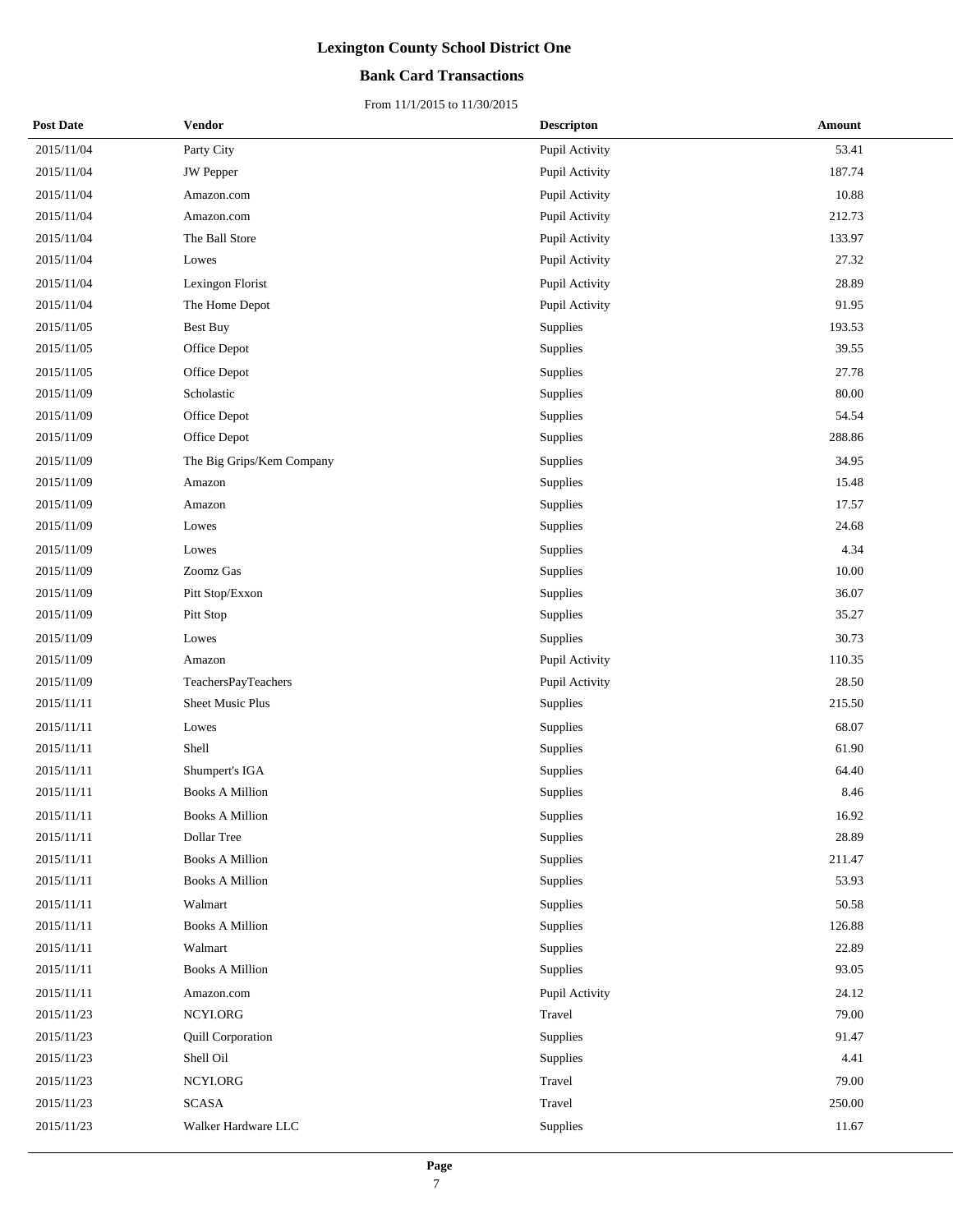## **Bank Card Transactions**

| <b>Post Date</b> | Vendor                    | <b>Descripton</b> | Amount |
|------------------|---------------------------|-------------------|--------|
| 2015/11/04       | Party City                | Pupil Activity    | 53.41  |
| 2015/11/04       | <b>JW</b> Pepper          | Pupil Activity    | 187.74 |
| 2015/11/04       | Amazon.com                | Pupil Activity    | 10.88  |
| 2015/11/04       | Amazon.com                | Pupil Activity    | 212.73 |
| 2015/11/04       | The Ball Store            | Pupil Activity    | 133.97 |
| 2015/11/04       | Lowes                     | Pupil Activity    | 27.32  |
| 2015/11/04       | Lexingon Florist          | Pupil Activity    | 28.89  |
| 2015/11/04       | The Home Depot            | Pupil Activity    | 91.95  |
| 2015/11/05       | <b>Best Buy</b>           | Supplies          | 193.53 |
| 2015/11/05       | Office Depot              | Supplies          | 39.55  |
| 2015/11/05       | Office Depot              | Supplies          | 27.78  |
| 2015/11/09       | Scholastic                | Supplies          | 80.00  |
| 2015/11/09       | Office Depot              | Supplies          | 54.54  |
| 2015/11/09       | Office Depot              | Supplies          | 288.86 |
| 2015/11/09       | The Big Grips/Kem Company | Supplies          | 34.95  |
| 2015/11/09       | Amazon                    | Supplies          | 15.48  |
| 2015/11/09       | Amazon                    | Supplies          | 17.57  |
| 2015/11/09       | Lowes                     | Supplies          | 24.68  |
| 2015/11/09       | Lowes                     | Supplies          | 4.34   |
| 2015/11/09       | Zoomz Gas                 | Supplies          | 10.00  |
| 2015/11/09       | Pitt Stop/Exxon           | Supplies          | 36.07  |
| 2015/11/09       | Pitt Stop                 | Supplies          | 35.27  |
| 2015/11/09       | Lowes                     | Supplies          | 30.73  |
| 2015/11/09       | Amazon                    | Pupil Activity    | 110.35 |
| 2015/11/09       | TeachersPayTeachers       | Pupil Activity    | 28.50  |
| 2015/11/11       | Sheet Music Plus          | Supplies          | 215.50 |
| 2015/11/11       | Lowes                     | Supplies          | 68.07  |
| 2015/11/11       | Shell                     | Supplies          | 61.90  |
| 2015/11/11       | Shumpert's IGA            | Supplies          | 64.40  |
| 2015/11/11       | <b>Books A Million</b>    | Supplies          | 8.46   |
| 2015/11/11       | <b>Books A Million</b>    | Supplies          | 16.92  |
| 2015/11/11       | Dollar Tree               | Supplies          | 28.89  |
| 2015/11/11       | <b>Books A Million</b>    | Supplies          | 211.47 |
| 2015/11/11       | <b>Books A Million</b>    | Supplies          | 53.93  |
| 2015/11/11       | Walmart                   | Supplies          | 50.58  |
| 2015/11/11       | <b>Books A Million</b>    | Supplies          | 126.88 |
| 2015/11/11       | Walmart                   | Supplies          | 22.89  |
| 2015/11/11       | <b>Books A Million</b>    | Supplies          | 93.05  |
| 2015/11/11       | Amazon.com                | Pupil Activity    | 24.12  |
| 2015/11/23       | NCYI.ORG                  | Travel            | 79.00  |
| 2015/11/23       | Quill Corporation         | Supplies          | 91.47  |
| 2015/11/23       | Shell Oil                 | Supplies          | 4.41   |
| 2015/11/23       | NCYI.ORG                  | Travel            | 79.00  |
| 2015/11/23       | <b>SCASA</b>              | Travel            | 250.00 |
| 2015/11/23       | Walker Hardware LLC       | Supplies          | 11.67  |
|                  |                           |                   |        |